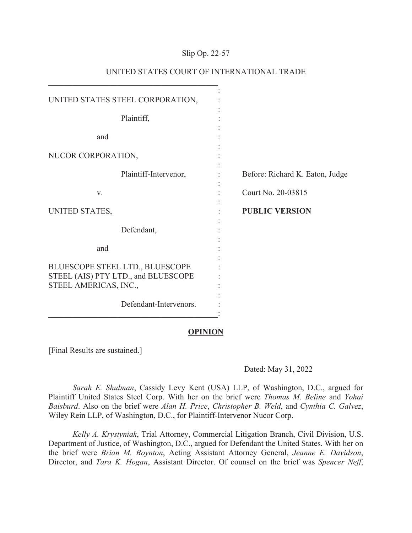## Slip Op. 22-57

| UNITED STATES STEEL CORPORATION,                                                                |                                 |
|-------------------------------------------------------------------------------------------------|---------------------------------|
| Plaintiff,                                                                                      |                                 |
| and                                                                                             |                                 |
| NUCOR CORPORATION,                                                                              |                                 |
| Plaintiff-Intervenor,                                                                           | Before: Richard K. Eaton, Judge |
| V.                                                                                              | Court No. 20-03815              |
| UNITED STATES,                                                                                  | <b>PUBLIC VERSION</b>           |
| Defendant,                                                                                      |                                 |
| and                                                                                             |                                 |
| BLUESCOPE STEEL LTD., BLUESCOPE<br>STEEL (AIS) PTY LTD., and BLUESCOPE<br>STEEL AMERICAS, INC., |                                 |
| Defendant-Intervenors.                                                                          |                                 |

# UNITED STATES COURT OF INTERNATIONAL TRADE

#### **OPINION**

[Final Results are sustained.]

## Dated: May 31, 2022

*Sarah E. Shulman*, Cassidy Levy Kent (USA) LLP, of Washington, D.C., argued for Plaintiff United States Steel Corp. With her on the brief were *Thomas M. Beline* and *Yohai Baisburd*. Also on the brief were *Alan H. Price*, *Christopher B. Weld*, and *Cynthia C. Galvez*, Wiley Rein LLP, of Washington, D.C., for Plaintiff-Intervenor Nucor Corp.

*Kelly A. Krystyniak*, Trial Attorney, Commercial Litigation Branch, Civil Division, U.S. Department of Justice, of Washington, D.C., argued for Defendant the United States. With her on the brief were *Brian M. Boynton*, Acting Assistant Attorney General, *Jeanne E. Davidson*, Director, and *Tara K. Hogan*, Assistant Director. Of counsel on the brief was *Spencer Neff*,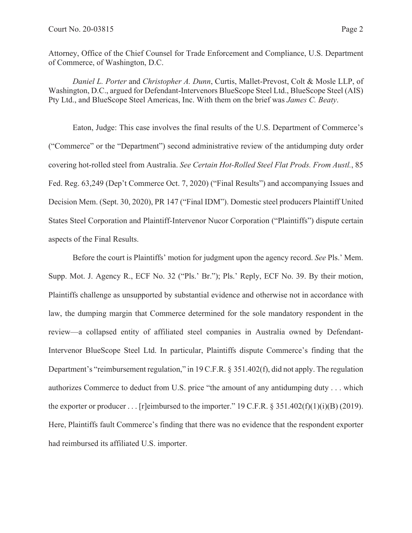Attorney, Office of the Chief Counsel for Trade Enforcement and Compliance, U.S. Department of Commerce, of Washington, D.C.

*Daniel L. Porter* and *Christopher A. Dunn*, Curtis, Mallet-Prevost, Colt & Mosle LLP, of Washington, D.C., argued for Defendant-Intervenors BlueScope Steel Ltd., BlueScope Steel (AIS) Pty Ltd., and BlueScope Steel Americas, Inc. With them on the brief was *James C. Beaty*.

Eaton, Judge: This case involves the final results of the U.S. Department of Commerce's ("Commerce" or the "Department") second administrative review of the antidumping duty order covering hot-rolled steel from Australia. *See Certain Hot-Rolled Steel Flat Prods. From Austl.*, 85 Fed. Reg. 63,249 (Dep't Commerce Oct. 7, 2020) ("Final Results") and accompanying Issues and Decision Mem. (Sept. 30, 2020), PR 147 ("Final IDM"). Domestic steel producers Plaintiff United States Steel Corporation and Plaintiff-Intervenor Nucor Corporation ("Plaintiffs") dispute certain aspects of the Final Results.

Before the court is Plaintiffs' motion for judgment upon the agency record. *See* Pls.' Mem. Supp. Mot. J. Agency R., ECF No. 32 ("Pls.' Br."); Pls.' Reply, ECF No. 39. By their motion, Plaintiffs challenge as unsupported by substantial evidence and otherwise not in accordance with law, the dumping margin that Commerce determined for the sole mandatory respondent in the review—a collapsed entity of affiliated steel companies in Australia owned by Defendant-Intervenor BlueScope Steel Ltd. In particular, Plaintiffs dispute Commerce's finding that the Department's "reimbursement regulation," in 19 C.F.R. § 351.402(f), did not apply. The regulation authorizes Commerce to deduct from U.S. price "the amount of any antidumping duty . . . which the exporter or producer . . . [r]eimbursed to the importer." 19 C.F.R. § 351.402(f)(1)(i)(B) (2019). Here, Plaintiffs fault Commerce's finding that there was no evidence that the respondent exporter had reimbursed its affiliated U.S. importer.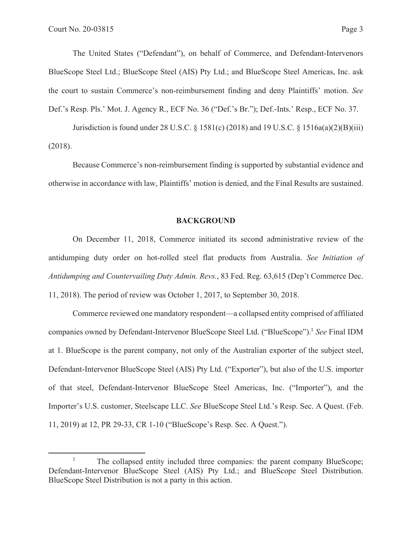The United States ("Defendant"), on behalf of Commerce, and Defendant-Intervenors BlueScope Steel Ltd.; BlueScope Steel (AIS) Pty Ltd.; and BlueScope Steel Americas, Inc. ask the court to sustain Commerce's non-reimbursement finding and deny Plaintiffs' motion. *See* Def.'s Resp. Pls.' Mot. J. Agency R., ECF No. 36 ("Def.'s Br."); Def.-Ints.' Resp., ECF No. 37.

Jurisdiction is found under 28 U.S.C. § 1581(c) (2018) and 19 U.S.C. § 1516a(a)(2)(B)(iii) (2018).

Because Commerce's non-reimbursement finding is supported by substantial evidence and otherwise in accordance with law, Plaintiffs' motion is denied, and the Final Results are sustained.

## **BACKGROUND**

On December 11, 2018, Commerce initiated its second administrative review of the antidumping duty order on hot-rolled steel flat products from Australia. *See Initiation of Antidumping and Countervailing Duty Admin. Revs.*, 83 Fed. Reg. 63,615 (Dep't Commerce Dec. 11, 2018). The period of review was October 1, 2017, to September 30, 2018.

Commerce reviewed one mandatory respondent—a collapsed entity comprised of affiliated companies owned by Defendant-Intervenor BlueScope Steel Ltd. ("BlueScope").1 *See* Final IDM at 1. BlueScope is the parent company, not only of the Australian exporter of the subject steel, Defendant-Intervenor BlueScope Steel (AIS) Pty Ltd. ("Exporter"), but also of the U.S. importer of that steel, Defendant-Intervenor BlueScope Steel Americas, Inc. ("Importer"), and the Importer's U.S. customer, Steelscape LLC. *See* BlueScope Steel Ltd.'s Resp. Sec. A Quest. (Feb. 11, 2019) at 12, PR 29-33, CR 1-10 ("BlueScope's Resp. Sec. A Quest.").

<sup>1</sup> The collapsed entity included three companies: the parent company BlueScope; Defendant-Intervenor BlueScope Steel (AIS) Pty Ltd.; and BlueScope Steel Distribution. BlueScope Steel Distribution is not a party in this action.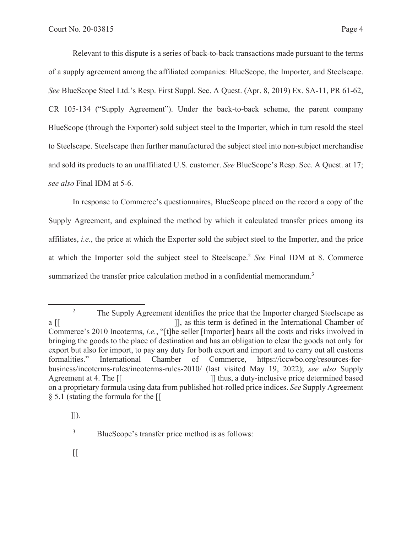Relevant to this dispute is a series of back-to-back transactions made pursuant to the terms of a supply agreement among the affiliated companies: BlueScope, the Importer, and Steelscape. *See* BlueScope Steel Ltd.'s Resp. First Suppl. Sec. A Quest. (Apr. 8, 2019) Ex. SA-11, PR 61-62, CR 105-134 ("Supply Agreement"). Under the back-to-back scheme, the parent company BlueScope (through the Exporter) sold subject steel to the Importer, which in turn resold the steel to Steelscape. Steelscape then further manufactured the subject steel into non-subject merchandise and sold its products to an unaffiliated U.S. customer. *See* BlueScope's Resp. Sec. A Quest. at 17; *see also* Final IDM at 5-6.

In response to Commerce's questionnaires, BlueScope placed on the record a copy of the Supply Agreement, and explained the method by which it calculated transfer prices among its affiliates, *i.e.*, the price at which the Exporter sold the subject steel to the Importer, and the price at which the Importer sold the subject steel to Steelscape.2 *See* Final IDM at 8. Commerce summarized the transfer price calculation method in a confidential memorandum.<sup>3</sup>

<sup>2</sup> The Supply Agreement identifies the price that the Importer charged Steelscape as a [[  $\qquad$  ]], as this term is defined in the International Chamber of Commerce's 2010 Incoterms, *i.e.*, "[t]he seller [Importer] bears all the costs and risks involved in bringing the goods to the place of destination and has an obligation to clear the goods not only for export but also for import, to pay any duty for both export and import and to carry out all customs formalities." International Chamber of Commerce, https://iccwbo.org/resources-forbusiness/incoterms-rules/incoterms-rules-2010/ (last visited May 19, 2022); *see also* Supply Agreement at 4. The  $\begin{bmatrix} \mathbf{z} & \mathbf{z} \end{bmatrix}$  a duty-inclusive price determined based on a proprietary formula using data from published hot-rolled price indices. *See* Supply Agreement § 5.1 (stating the formula for the [[

 <sup>]]).</sup> 

<sup>3</sup> BlueScope's transfer price method is as follows: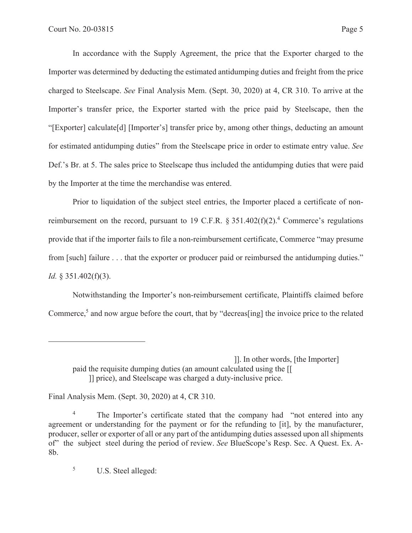In accordance with the Supply Agreement, the price that the Exporter charged to the Importer was determined by deducting the estimated antidumping duties and freight from the price charged to Steelscape. *See* Final Analysis Mem. (Sept. 30, 2020) at 4, CR 310. To arrive at the Importer's transfer price, the Exporter started with the price paid by Steelscape, then the "[Exporter] calculate[d] [Importer's] transfer price by, among other things, deducting an amount for estimated antidumping duties" from the Steelscape price in order to estimate entry value. *See* Def.'s Br. at 5. The sales price to Steelscape thus included the antidumping duties that were paid by the Importer at the time the merchandise was entered.

Prior to liquidation of the subject steel entries, the Importer placed a certificate of nonreimbursement on the record, pursuant to 19 C.F.R.  $\S 351.402(f)(2)$ .<sup>4</sup> Commerce's regulations provide that if the importer fails to file a non-reimbursement certificate, Commerce "may presume from [such] failure . . . that the exporter or producer paid or reimbursed the antidumping duties." *Id.* § 351.402(f)(3).

Notwithstanding the Importer's non-reimbursement certificate, Plaintiffs claimed before Commerce,<sup>5</sup> and now argue before the court, that by "decreas[ing] the invoice price to the related

Final Analysis Mem. (Sept. 30, 2020) at 4, CR 310.

5 U.S. Steel alleged:

 <sup>]].</sup> In other words, [the Importer]

paid the requisite dumping duties (an amount calculated using the [[ ]] price), and Steelscape was charged a duty-inclusive price.

<sup>4</sup> The Importer's certificate stated that the company had "not entered into any agreement or understanding for the payment or for the refunding to [it], by the manufacturer, producer, seller or exporter of all or any part of the antidumping duties assessed upon all shipments of" the subject steel during the period of review. *See* BlueScope's Resp. Sec. A Quest. Ex. A-8b.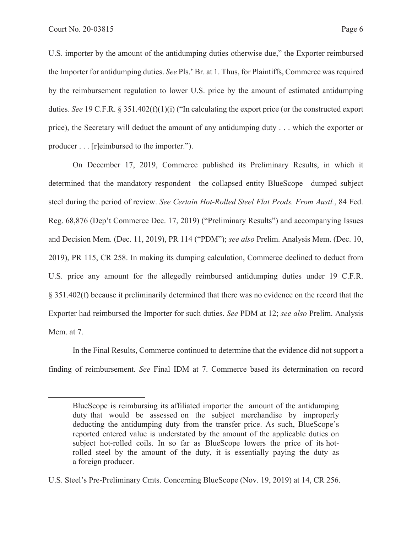U.S. importer by the amount of the antidumping duties otherwise due," the Exporter reimbursed the Importer for antidumping duties. *See* Pls.' Br. at 1. Thus, for Plaintiffs, Commerce was required by the reimbursement regulation to lower U.S. price by the amount of estimated antidumping duties. *See* 19 C.F.R. § 351.402(f)(1)(i) ("In calculating the export price (or the constructed export price), the Secretary will deduct the amount of any antidumping duty . . . which the exporter or producer . . . [r]eimbursed to the importer.").

On December 17, 2019, Commerce published its Preliminary Results, in which it determined that the mandatory respondent—the collapsed entity BlueScope—dumped subject steel during the period of review. *See Certain Hot-Rolled Steel Flat Prods. From Austl.*, 84 Fed. Reg. 68,876 (Dep't Commerce Dec. 17, 2019) ("Preliminary Results") and accompanying Issues and Decision Mem. (Dec. 11, 2019), PR 114 ("PDM"); *see also* Prelim. Analysis Mem. (Dec. 10, 2019), PR 115, CR 258. In making its dumping calculation, Commerce declined to deduct from U.S. price any amount for the allegedly reimbursed antidumping duties under 19 C.F.R. § 351.402(f) because it preliminarily determined that there was no evidence on the record that the Exporter had reimbursed the Importer for such duties. *See* PDM at 12; *see also* Prelim. Analysis Mem. at 7.

In the Final Results, Commerce continued to determine that the evidence did not support a finding of reimbursement. *See* Final IDM at 7. Commerce based its determination on record

BlueScope is reimbursing its affiliated importer the amount of the antidumping duty that would be assessed on the subject merchandise by improperly deducting the antidumping duty from the transfer price. As such, BlueScope's reported entered value is understated by the amount of the applicable duties on subject hot-rolled coils. In so far as BlueScope lowers the price of its hotrolled steel by the amount of the duty, it is essentially paying the duty as a foreign producer.

U.S. Steel's Pre-Preliminary Cmts. Concerning BlueScope (Nov. 19, 2019) at 14, CR 256.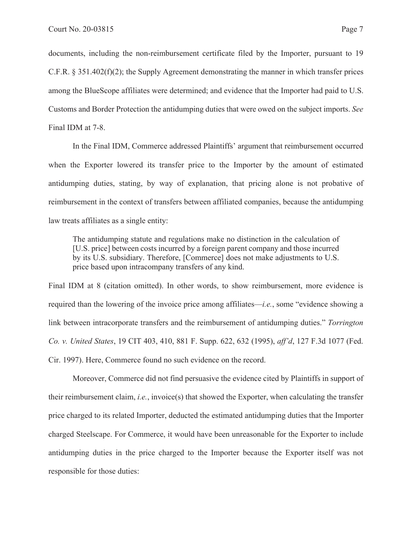documents, including the non-reimbursement certificate filed by the Importer, pursuant to 19 C.F.R.  $\S 351.402(f)(2)$ ; the Supply Agreement demonstrating the manner in which transfer prices among the BlueScope affiliates were determined; and evidence that the Importer had paid to U.S. Customs and Border Protection the antidumping duties that were owed on the subject imports. *See* Final IDM at 7-8.

In the Final IDM, Commerce addressed Plaintiffs' argument that reimbursement occurred when the Exporter lowered its transfer price to the Importer by the amount of estimated antidumping duties, stating, by way of explanation, that pricing alone is not probative of reimbursement in the context of transfers between affiliated companies, because the antidumping law treats affiliates as a single entity:

The antidumping statute and regulations make no distinction in the calculation of [U.S. price] between costs incurred by a foreign parent company and those incurred by its U.S. subsidiary. Therefore, [Commerce] does not make adjustments to U.S. price based upon intracompany transfers of any kind.

Final IDM at 8 (citation omitted). In other words, to show reimbursement, more evidence is required than the lowering of the invoice price among affiliates—*i.e.*, some "evidence showing a link between intracorporate transfers and the reimbursement of antidumping duties." *Torrington Co. v. United States*, 19 CIT 403, 410, 881 F. Supp. 622, 632 (1995), *aff'd*, 127 F.3d 1077 (Fed. Cir. 1997). Here, Commerce found no such evidence on the record.

Moreover, Commerce did not find persuasive the evidence cited by Plaintiffs in support of their reimbursement claim, *i.e.*, invoice(s) that showed the Exporter, when calculating the transfer price charged to its related Importer, deducted the estimated antidumping duties that the Importer charged Steelscape. For Commerce, it would have been unreasonable for the Exporter to include antidumping duties in the price charged to the Importer because the Exporter itself was not responsible for those duties: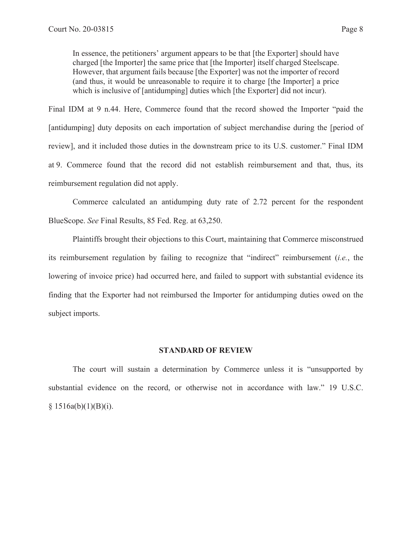In essence, the petitioners' argument appears to be that [the Exporter] should have charged [the Importer] the same price that [the Importer] itself charged Steelscape. However, that argument fails because [the Exporter] was not the importer of record (and thus, it would be unreasonable to require it to charge [the Importer] a price which is inclusive of [antidumping] duties which [the Exporter] did not incur).

Final IDM at 9 n.44. Here, Commerce found that the record showed the Importer "paid the [antidumping] duty deposits on each importation of subject merchandise during the [period of review], and it included those duties in the downstream price to its U.S. customer." Final IDM at 9. Commerce found that the record did not establish reimbursement and that, thus, its reimbursement regulation did not apply.

Commerce calculated an antidumping duty rate of 2.72 percent for the respondent BlueScope. *See* Final Results, 85 Fed. Reg. at 63,250.

Plaintiffs brought their objections to this Court, maintaining that Commerce misconstrued its reimbursement regulation by failing to recognize that "indirect" reimbursement (*i.e.*, the lowering of invoice price) had occurred here, and failed to support with substantial evidence its finding that the Exporter had not reimbursed the Importer for antidumping duties owed on the subject imports.

### **STANDARD OF REVIEW**

The court will sustain a determination by Commerce unless it is "unsupported by substantial evidence on the record, or otherwise not in accordance with law." 19 U.S.C.  $§ 1516a(b)(1)(B)(i).$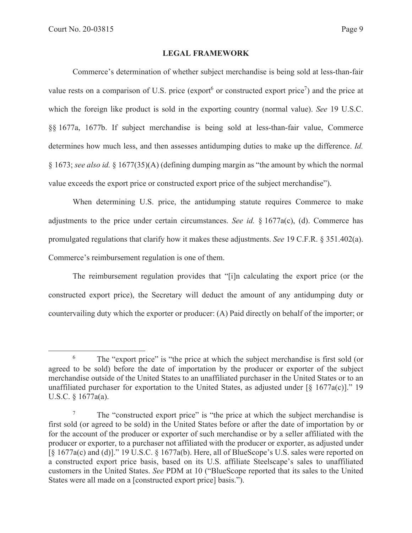## **LEGAL FRAMEWORK**

Commerce's determination of whether subject merchandise is being sold at less-than-fair value rests on a comparison of U.S. price (export or constructed export price<sup>7</sup>) and the price at which the foreign like product is sold in the exporting country (normal value). *See* 19 U.S.C. §§ 1677a, 1677b. If subject merchandise is being sold at less-than-fair value, Commerce determines how much less, and then assesses antidumping duties to make up the difference. *Id.* § 1673; *see also id.* § 1677(35)(A) (defining dumping margin as "the amount by which the normal value exceeds the export price or constructed export price of the subject merchandise").

When determining U.S. price, the antidumping statute requires Commerce to make adjustments to the price under certain circumstances. *See id.* § 1677a(c), (d). Commerce has promulgated regulations that clarify how it makes these adjustments. *See* 19 C.F.R. § 351.402(a). Commerce's reimbursement regulation is one of them.

The reimbursement regulation provides that "[i]n calculating the export price (or the constructed export price), the Secretary will deduct the amount of any antidumping duty or countervailing duty which the exporter or producer: (A) Paid directly on behalf of the importer; or

<sup>6</sup> The "export price" is "the price at which the subject merchandise is first sold (or agreed to be sold) before the date of importation by the producer or exporter of the subject merchandise outside of the United States to an unaffiliated purchaser in the United States or to an unaffiliated purchaser for exportation to the United States, as adjusted under  $\lceil \S 1677a(c) \rceil$ ." 19 U.S.C. § 1677a(a).

<sup>7</sup> The "constructed export price" is "the price at which the subject merchandise is first sold (or agreed to be sold) in the United States before or after the date of importation by or for the account of the producer or exporter of such merchandise or by a seller affiliated with the producer or exporter, to a purchaser not affiliated with the producer or exporter, as adjusted under [§ 1677a(c) and (d)]." 19 U.S.C. § 1677a(b). Here, all of BlueScope's U.S. sales were reported on a constructed export price basis, based on its U.S. affiliate Steelscape's sales to unaffiliated customers in the United States. *See* PDM at 10 ("BlueScope reported that its sales to the United States were all made on a [constructed export price] basis.").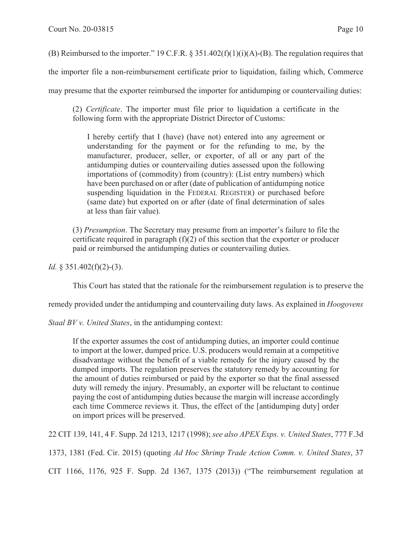(B) Reimbursed to the importer." 19 C.F.R. § 351.402(f)(1)(i)(A)-(B). The regulation requires that

the importer file a non-reimbursement certificate prior to liquidation, failing which, Commerce

may presume that the exporter reimbursed the importer for antidumping or countervailing duties:

(2) *Certificate*. The importer must file prior to liquidation a certificate in the following form with the appropriate District Director of Customs:

I hereby certify that I (have) (have not) entered into any agreement or understanding for the payment or for the refunding to me, by the manufacturer, producer, seller, or exporter, of all or any part of the antidumping duties or countervailing duties assessed upon the following importations of (commodity) from (country): (List entry numbers) which have been purchased on or after (date of publication of antidumping notice suspending liquidation in the FEDERAL REGISTER) or purchased before (same date) but exported on or after (date of final determination of sales at less than fair value).

(3) *Presumption*. The Secretary may presume from an importer's failure to file the certificate required in paragraph  $(f)(2)$  of this section that the exporter or producer paid or reimbursed the antidumping duties or countervailing duties.

*Id.* § 351.402(f)(2)-(3).

This Court has stated that the rationale for the reimbursement regulation is to preserve the

remedy provided under the antidumping and countervailing duty laws. As explained in *Hoogovens* 

*Staal BV v. United States*, in the antidumping context:

If the exporter assumes the cost of antidumping duties, an importer could continue to import at the lower, dumped price. U.S. producers would remain at a competitive disadvantage without the benefit of a viable remedy for the injury caused by the dumped imports. The regulation preserves the statutory remedy by accounting for the amount of duties reimbursed or paid by the exporter so that the final assessed duty will remedy the injury. Presumably, an exporter will be reluctant to continue paying the cost of antidumping duties because the margin will increase accordingly each time Commerce reviews it. Thus, the effect of the [antidumping duty] order on import prices will be preserved.

22 CIT 139, 141, 4 F. Supp. 2d 1213, 1217 (1998); *see also APEX Exps. v. United States*, 777 F.3d

1373, 1381 (Fed. Cir. 2015) (quoting *Ad Hoc Shrimp Trade Action Comm. v. United States*, 37

CIT 1166, 1176, 925 F. Supp. 2d 1367, 1375 (2013)) ("The reimbursement regulation at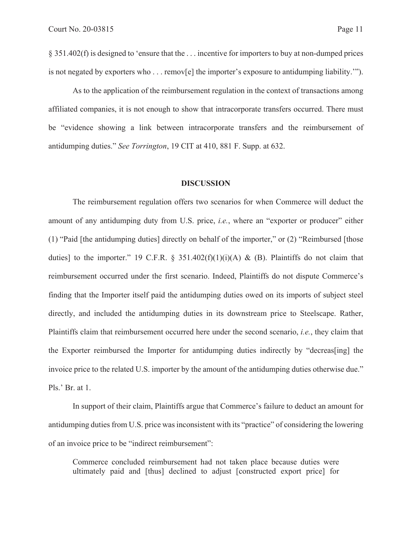§ 351.402(f) is designed to 'ensure that the . . . incentive for importers to buy at non-dumped prices is not negated by exporters who . . . remov[e] the importer's exposure to antidumping liability.'").

As to the application of the reimbursement regulation in the context of transactions among affiliated companies, it is not enough to show that intracorporate transfers occurred. There must be "evidence showing a link between intracorporate transfers and the reimbursement of antidumping duties." *See Torrington*, 19 CIT at 410, 881 F. Supp. at 632.

## **DISCUSSION**

 The reimbursement regulation offers two scenarios for when Commerce will deduct the amount of any antidumping duty from U.S. price, *i.e.*, where an "exporter or producer" either (1) "Paid [the antidumping duties] directly on behalf of the importer," or (2) "Reimbursed [those duties] to the importer." 19 C.F.R. § 351.402(f)(1)(i)(A) & (B). Plaintiffs do not claim that reimbursement occurred under the first scenario. Indeed, Plaintiffs do not dispute Commerce's finding that the Importer itself paid the antidumping duties owed on its imports of subject steel directly, and included the antidumping duties in its downstream price to Steelscape. Rather, Plaintiffs claim that reimbursement occurred here under the second scenario, *i.e.*, they claim that the Exporter reimbursed the Importer for antidumping duties indirectly by "decreas[ing] the invoice price to the related U.S. importer by the amount of the antidumping duties otherwise due." Pls.' Br. at 1.

In support of their claim, Plaintiffs argue that Commerce's failure to deduct an amount for antidumping duties from U.S. price was inconsistent with its "practice" of considering the lowering of an invoice price to be "indirect reimbursement":

Commerce concluded reimbursement had not taken place because duties were ultimately paid and [thus] declined to adjust [constructed export price] for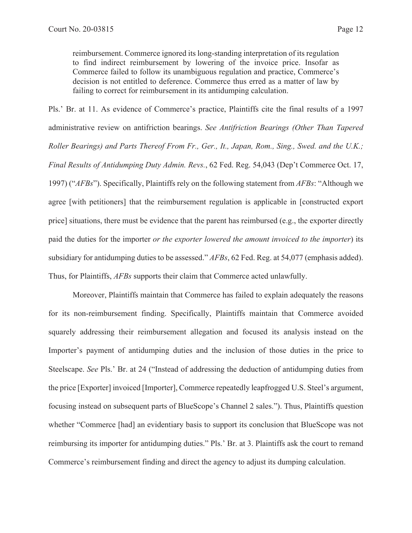reimbursement. Commerce ignored its long-standing interpretation of its regulation to find indirect reimbursement by lowering of the invoice price. Insofar as Commerce failed to follow its unambiguous regulation and practice, Commerce's decision is not entitled to deference. Commerce thus erred as a matter of law by failing to correct for reimbursement in its antidumping calculation.

Pls.' Br. at 11. As evidence of Commerce's practice, Plaintiffs cite the final results of a 1997 administrative review on antifriction bearings. *See Antifriction Bearings (Other Than Tapered Roller Bearings) and Parts Thereof From Fr., Ger., It., Japan, Rom., Sing., Swed. and the U.K.; Final Results of Antidumping Duty Admin. Revs.*, 62 Fed. Reg. 54,043 (Dep't Commerce Oct. 17, 1997) ("*AFBs*"). Specifically, Plaintiffs rely on the following statement from *AFBs*: "Although we agree [with petitioners] that the reimbursement regulation is applicable in [constructed export price] situations, there must be evidence that the parent has reimbursed (e.g., the exporter directly paid the duties for the importer *or the exporter lowered the amount invoiced to the importer*) its subsidiary for antidumping duties to be assessed." *AFBs*, 62 Fed. Reg. at 54,077 (emphasis added). Thus, for Plaintiffs, *AFBs* supports their claim that Commerce acted unlawfully.

Moreover, Plaintiffs maintain that Commerce has failed to explain adequately the reasons for its non-reimbursement finding. Specifically, Plaintiffs maintain that Commerce avoided squarely addressing their reimbursement allegation and focused its analysis instead on the Importer's payment of antidumping duties and the inclusion of those duties in the price to Steelscape. *See* Pls.' Br. at 24 ("Instead of addressing the deduction of antidumping duties from the price [Exporter] invoiced [Importer], Commerce repeatedly leapfrogged U.S. Steel's argument, focusing instead on subsequent parts of BlueScope's Channel 2 sales."). Thus, Plaintiffs question whether "Commerce [had] an evidentiary basis to support its conclusion that BlueScope was not reimbursing its importer for antidumping duties." Pls.' Br. at 3. Plaintiffs ask the court to remand Commerce's reimbursement finding and direct the agency to adjust its dumping calculation.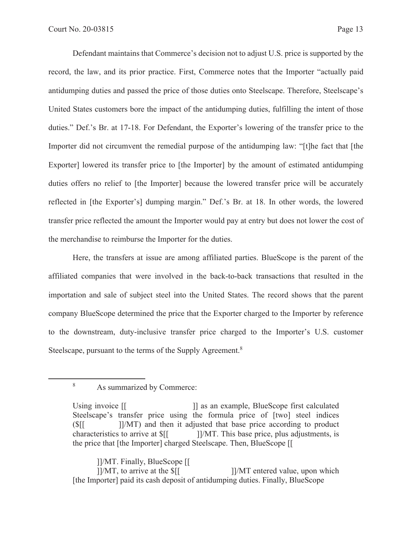Defendant maintains that Commerce's decision not to adjust U.S. price is supported by the record, the law, and its prior practice. First, Commerce notes that the Importer "actually paid antidumping duties and passed the price of those duties onto Steelscape. Therefore, Steelscape's United States customers bore the impact of the antidumping duties, fulfilling the intent of those duties." Def.'s Br. at 17-18. For Defendant, the Exporter's lowering of the transfer price to the Importer did not circumvent the remedial purpose of the antidumping law: "[t]he fact that [the Exporter] lowered its transfer price to [the Importer] by the amount of estimated antidumping duties offers no relief to [the Importer] because the lowered transfer price will be accurately reflected in [the Exporter's] dumping margin." Def.'s Br. at 18. In other words, the lowered transfer price reflected the amount the Importer would pay at entry but does not lower the cost of the merchandise to reimburse the Importer for the duties.

 Here, the transfers at issue are among affiliated parties. BlueScope is the parent of the affiliated companies that were involved in the back-to-back transactions that resulted in the importation and sale of subject steel into the United States. The record shows that the parent company BlueScope determined the price that the Exporter charged to the Importer by reference to the downstream, duty-inclusive transfer price charged to the Importer's U.S. customer Steelscape, pursuant to the terms of the Supply Agreement.<sup>8</sup>

 ]]/MT. Finally, BlueScope [[  $\frac{1}{M}$ , to arrive at the  $\frac{1}{M}$  [1/MT entered value, upon which [the Importer] paid its cash deposit of antidumping duties. Finally, BlueScope

<sup>8</sup>

As summarized by Commerce:

Using invoice  $\begin{bmatrix} 1 & 1 \end{bmatrix}$  as an example, BlueScope first calculated Steelscape's transfer price using the formula price of [two] steel indices  $(\frac{S}{I})$  [ $\frac{S}{I}$ ]/MT) and then it adjusted that base price according to product characteristics to arrive at  $\frac{1}{1}$ []/MT. This base price, plus adjustments, is the price that [the Importer] charged Steelscape. Then, BlueScope [[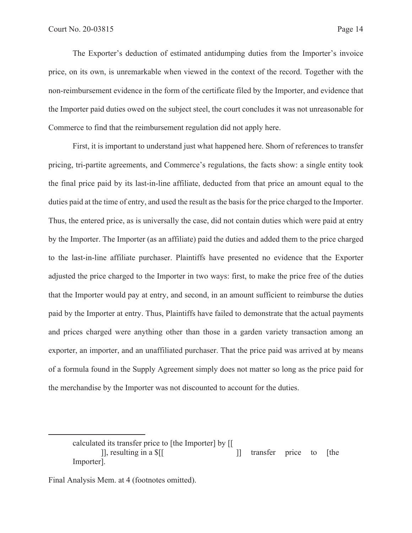The Exporter's deduction of estimated antidumping duties from the Importer's invoice price, on its own, is unremarkable when viewed in the context of the record. Together with the non-reimbursement evidence in the form of the certificate filed by the Importer, and evidence that the Importer paid duties owed on the subject steel, the court concludes it was not unreasonable for Commerce to find that the reimbursement regulation did not apply here.

First, it is important to understand just what happened here. Shorn of references to transfer pricing, tri-partite agreements, and Commerce's regulations, the facts show: a single entity took the final price paid by its last-in-line affiliate, deducted from that price an amount equal to the duties paid at the time of entry, and used the result as the basis for the price charged to the Importer. Thus, the entered price, as is universally the case, did not contain duties which were paid at entry by the Importer. The Importer (as an affiliate) paid the duties and added them to the price charged to the last-in-line affiliate purchaser. Plaintiffs have presented no evidence that the Exporter adjusted the price charged to the Importer in two ways: first, to make the price free of the duties that the Importer would pay at entry, and second, in an amount sufficient to reimburse the duties paid by the Importer at entry. Thus, Plaintiffs have failed to demonstrate that the actual payments and prices charged were anything other than those in a garden variety transaction among an exporter, an importer, and an unaffiliated purchaser. That the price paid was arrived at by means of a formula found in the Supply Agreement simply does not matter so long as the price paid for the merchandise by the Importer was not discounted to account for the duties.

calculated its transfer price to [the Importer] by [[ [1], resulting in a \$[[ ] cransfer price to [the Importer].

Final Analysis Mem. at 4 (footnotes omitted).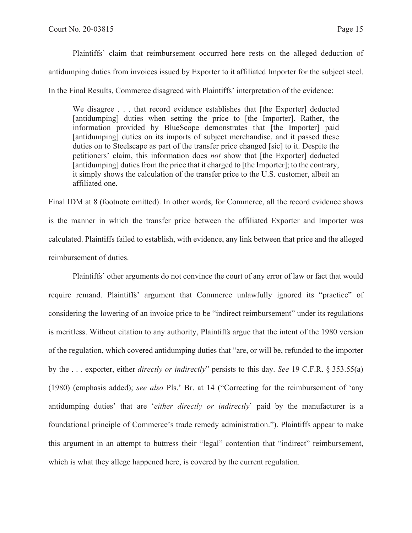Plaintiffs' claim that reimbursement occurred here rests on the alleged deduction of antidumping duties from invoices issued by Exporter to it affiliated Importer for the subject steel. In the Final Results, Commerce disagreed with Plaintiffs' interpretation of the evidence:

We disagree . . . that record evidence establishes that [the Exporter] deducted [antidumping] duties when setting the price to [the Importer]. Rather, the information provided by BlueScope demonstrates that [the Importer] paid [antidumping] duties on its imports of subject merchandise, and it passed these duties on to Steelscape as part of the transfer price changed [sic] to it. Despite the petitioners' claim, this information does *not* show that [the Exporter] deducted [antidumping] duties from the price that it charged to [the Importer]; to the contrary, it simply shows the calculation of the transfer price to the U.S. customer, albeit an affiliated one.

Final IDM at 8 (footnote omitted). In other words, for Commerce, all the record evidence shows is the manner in which the transfer price between the affiliated Exporter and Importer was calculated. Plaintiffs failed to establish, with evidence, any link between that price and the alleged reimbursement of duties.

 Plaintiffs' other arguments do not convince the court of any error of law or fact that would require remand. Plaintiffs' argument that Commerce unlawfully ignored its "practice" of considering the lowering of an invoice price to be "indirect reimbursement" under its regulations is meritless. Without citation to any authority, Plaintiffs argue that the intent of the 1980 version of the regulation, which covered antidumping duties that "are, or will be, refunded to the importer by the . . . exporter, either *directly or indirectly*" persists to this day. *See* 19 C.F.R. § 353.55(a) (1980) (emphasis added); *see also* Pls.' Br. at 14 ("Correcting for the reimbursement of 'any antidumping duties' that are '*either directly or indirectly*' paid by the manufacturer is a foundational principle of Commerce's trade remedy administration."). Plaintiffs appear to make this argument in an attempt to buttress their "legal" contention that "indirect" reimbursement, which is what they allege happened here, is covered by the current regulation.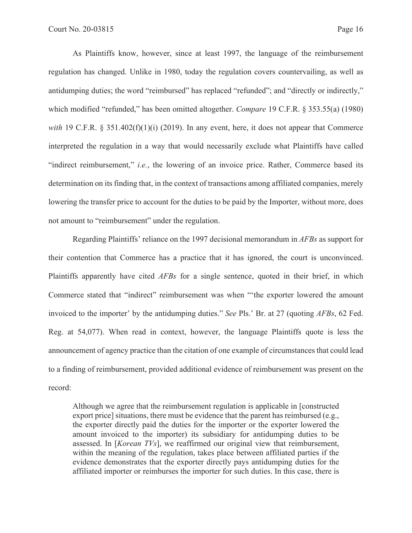As Plaintiffs know, however, since at least 1997, the language of the reimbursement regulation has changed. Unlike in 1980, today the regulation covers countervailing, as well as antidumping duties; the word "reimbursed" has replaced "refunded"; and "directly or indirectly," which modified "refunded," has been omitted altogether. *Compare* 19 C.F.R. § 353.55(a) (1980) *with* 19 C.F.R. § 351.402(f)(1)(i) (2019). In any event, here, it does not appear that Commerce interpreted the regulation in a way that would necessarily exclude what Plaintiffs have called "indirect reimbursement," *i.e.*, the lowering of an invoice price. Rather, Commerce based its determination on its finding that, in the context of transactions among affiliated companies, merely lowering the transfer price to account for the duties to be paid by the Importer, without more, does not amount to "reimbursement" under the regulation.

 Regarding Plaintiffs' reliance on the 1997 decisional memorandum in *AFBs* as support for their contention that Commerce has a practice that it has ignored, the court is unconvinced. Plaintiffs apparently have cited *AFBs* for a single sentence, quoted in their brief, in which Commerce stated that "indirect" reimbursement was when "'the exporter lowered the amount invoiced to the importer' by the antidumping duties." *See* Pls.' Br. at 27 (quoting *AFBs*, 62 Fed. Reg. at 54,077). When read in context, however, the language Plaintiffs quote is less the announcement of agency practice than the citation of one example of circumstances that could lead to a finding of reimbursement, provided additional evidence of reimbursement was present on the record:

Although we agree that the reimbursement regulation is applicable in [constructed export price] situations, there must be evidence that the parent has reimbursed (e.g., the exporter directly paid the duties for the importer or the exporter lowered the amount invoiced to the importer) its subsidiary for antidumping duties to be assessed. In [*Korean TVs*], we reaffirmed our original view that reimbursement, within the meaning of the regulation, takes place between affiliated parties if the evidence demonstrates that the exporter directly pays antidumping duties for the affiliated importer or reimburses the importer for such duties. In this case, there is